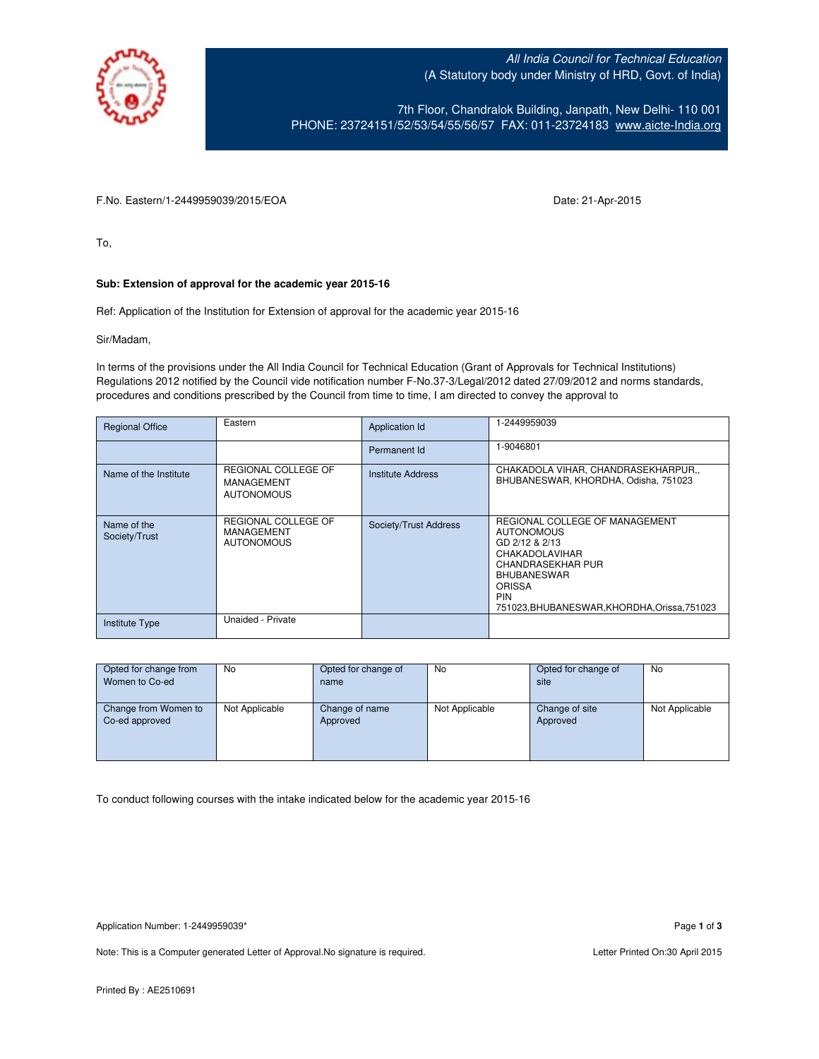

All India Council for Technical Education (A Statutory body under Ministry of HRD, Govt. of India)

7th Floor, Chandralok Building, Janpath, New Delhi- 110 001 PHONE: 23724151/52/53/54/55/56/57 FAX: 011-23724183 [www.aicte-India.org](http://www.aicte-india.org/)

F.No. Eastern/1-2449959039/2015/EOA Date: 21-Apr-2015

To,

## **Sub: Extension of approval for the academic year 2015-16**

Ref: Application of the Institution for Extension of approval for the academic year 2015-16

Sir/Madam,

In terms of the provisions under the All India Council for Technical Education (Grant of Approvals for Technical Institutions) Regulations 2012 notified by the Council vide notification number F-No.37-3/Legal/2012 dated 27/09/2012 and norms standards, procedures and conditions prescribed by the Council from time to time, I am directed to convey the approval to

| <b>Regional Office</b>       | Eastern                                                       | Application Id        | 1-2449959039                                                                                                                                                                                                             |
|------------------------------|---------------------------------------------------------------|-----------------------|--------------------------------------------------------------------------------------------------------------------------------------------------------------------------------------------------------------------------|
|                              |                                                               | Permanent Id          | 1-9046801                                                                                                                                                                                                                |
| Name of the Institute        | REGIONAL COLLEGE OF<br><b>MANAGEMENT</b><br><b>AUTONOMOUS</b> | Institute Address     | CHAKADOLA VIHAR, CHANDRASEKHARPUR,,<br>BHUBANESWAR, KHORDHA, Odisha, 751023                                                                                                                                              |
| Name of the<br>Society/Trust | REGIONAL COLLEGE OF<br><b>MANAGEMENT</b><br><b>AUTONOMOUS</b> | Society/Trust Address | REGIONAL COLLEGE OF MANAGEMENT<br><b>AUTONOMOUS</b><br>GD 2/12 & 2/13<br>CHAKADOLAVIHAR<br><b>CHANDRASEKHAR PUR</b><br><b>BHUBANESWAR</b><br><b>ORISSA</b><br><b>PIN</b><br>751023, BHUBANESWAR, KHORDHA, Orissa, 751023 |
| <b>Institute Type</b>        | Unaided - Private                                             |                       |                                                                                                                                                                                                                          |

| Opted for change from | <b>No</b>      | Opted for change of | No             | Opted for change of | No             |
|-----------------------|----------------|---------------------|----------------|---------------------|----------------|
| Women to Co-ed        |                | name                |                | site                |                |
|                       |                |                     |                |                     |                |
| Change from Women to  | Not Applicable | Change of name      | Not Applicable | Change of site      | Not Applicable |
| Co-ed approved        |                | Approved            |                | Approved            |                |
|                       |                |                     |                |                     |                |
|                       |                |                     |                |                     |                |
|                       |                |                     |                |                     |                |

To conduct following courses with the intake indicated below for the academic year 2015-16

Note: This is a Computer generated Letter of Approval. No signature is required. Letter Printed On:30 April 2015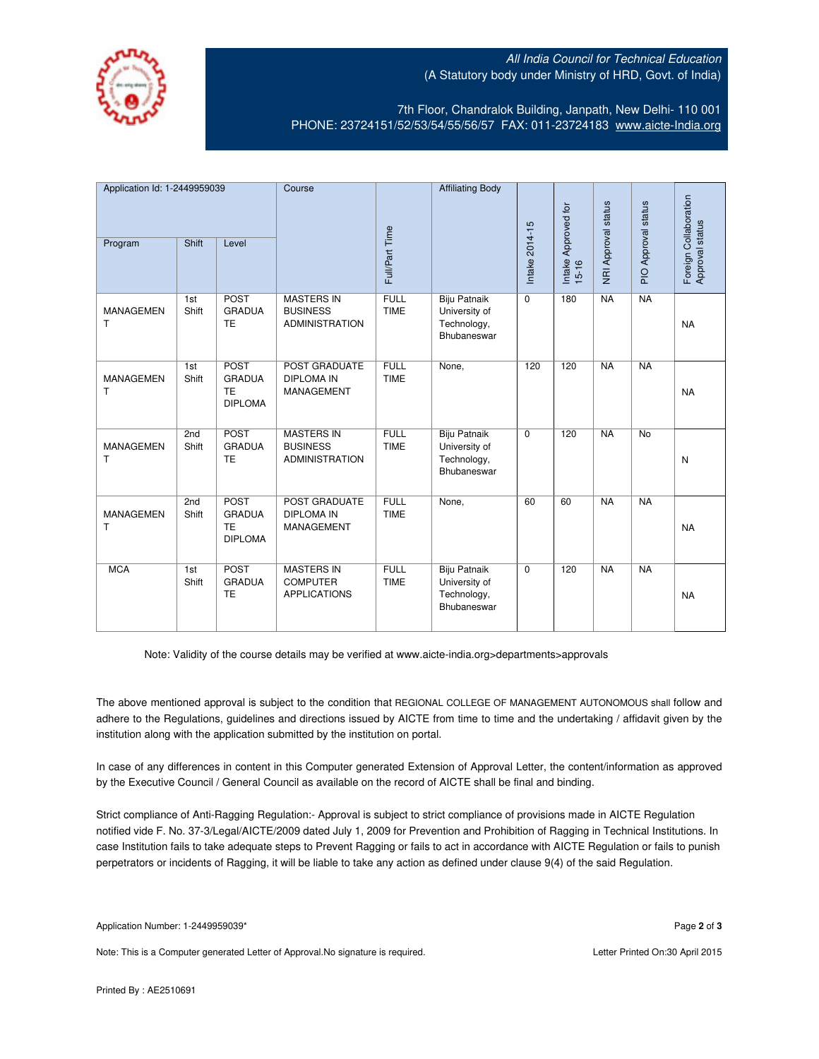## All India Council for Technical Education (A Statutory body under Ministry of HRD, Govt. of India)



7th Floor, Chandralok Building, Janpath, New Delhi- 110 001 PHONE: 23724151/52/53/54/55/56/57 FAX: 011-23724183 [www.aicte-India.org](http://www.aicte-india.org/)

| Application Id: 1-2449959039 |              | Course                                                      |                                                               | <b>Affiliating Body</b>    |                                                             |                |                              |                     |                     |                                          |
|------------------------------|--------------|-------------------------------------------------------------|---------------------------------------------------------------|----------------------------|-------------------------------------------------------------|----------------|------------------------------|---------------------|---------------------|------------------------------------------|
| Program                      | Shift        | Level                                                       |                                                               | Full/Part Time             |                                                             | Intake 2014-15 | Intake Approved for<br>15-16 | NRI Approval status | PIO Approval status | Foreign Collaboration<br>Approval status |
| <b>MANAGEMEN</b><br>т        | 1st<br>Shift | <b>POST</b><br><b>GRADUA</b><br><b>TE</b>                   | <b>MASTERS IN</b><br><b>BUSINESS</b><br><b>ADMINISTRATION</b> | <b>FULL</b><br><b>TIME</b> | Biju Patnaik<br>University of<br>Technology,<br>Bhubaneswar | $\Omega$       | 180                          | <b>NA</b>           | <b>NA</b>           | <b>NA</b>                                |
| <b>MANAGEMEN</b><br>т        | 1st<br>Shift | POST<br><b>GRADUA</b><br><b>TE</b><br><b>DIPLOMA</b>        | POST GRADUATE<br><b>DIPLOMA IN</b><br><b>MANAGEMENT</b>       | <b>FULL</b><br><b>TIME</b> | None,                                                       | 120            | 120                          | NA                  | NA                  | <b>NA</b>                                |
| MANAGEMEN<br>т               | 2nd<br>Shift | <b>POST</b><br><b>GRADUA</b><br><b>TE</b>                   | <b>MASTERS IN</b><br><b>BUSINESS</b><br><b>ADMINISTRATION</b> | <b>FULL</b><br><b>TIME</b> | Biju Patnaik<br>University of<br>Technology,<br>Bhubaneswar | $\mathbf 0$    | 120                          | <b>NA</b>           | <b>No</b>           | N                                        |
| <b>MANAGEMEN</b><br>т        | 2nd<br>Shift | <b>POST</b><br><b>GRADUA</b><br><b>TE</b><br><b>DIPLOMA</b> | POST GRADUATE<br><b>DIPLOMA IN</b><br>MANAGEMENT              | <b>FULL</b><br><b>TIME</b> | None,                                                       | 60             | 60                           | NA                  | NA                  | <b>NA</b>                                |
| <b>MCA</b>                   | 1st<br>Shift | <b>POST</b><br><b>GRADUA</b><br>TE                          | <b>MASTERS IN</b><br><b>COMPUTER</b><br><b>APPLICATIONS</b>   | <b>FULL</b><br><b>TIME</b> | Biju Patnaik<br>University of<br>Technology,<br>Bhubaneswar | 0              | 120                          | NA                  | NA                  | <b>NA</b>                                |

Note: Validity of the course details may be verified at www.aicte-india.org>departments>approvals

The above mentioned approval is subject to the condition that REGIONAL COLLEGE OF MANAGEMENT AUTONOMOUS shall follow and adhere to the Regulations, guidelines and directions issued by AICTE from time to time and the undertaking / affidavit given by the institution along with the application submitted by the institution on portal.

In case of any differences in content in this Computer generated Extension of Approval Letter, the content/information as approved by the Executive Council / General Council as available on the record of AICTE shall be final and binding.

Strict compliance of Anti-Ragging Regulation:- Approval is subject to strict compliance of provisions made in AICTE Regulation notified vide F. No. 37-3/Legal/AICTE/2009 dated July 1, 2009 for Prevention and Prohibition of Ragging in Technical Institutions. In case Institution fails to take adequate steps to Prevent Ragging or fails to act in accordance with AICTE Regulation or fails to punish perpetrators or incidents of Ragging, it will be liable to take any action as defined under clause 9(4) of the said Regulation.

Note: This is a Computer generated Letter of Approval.No signature is required. Letter According the state of Approval.No signature is required.